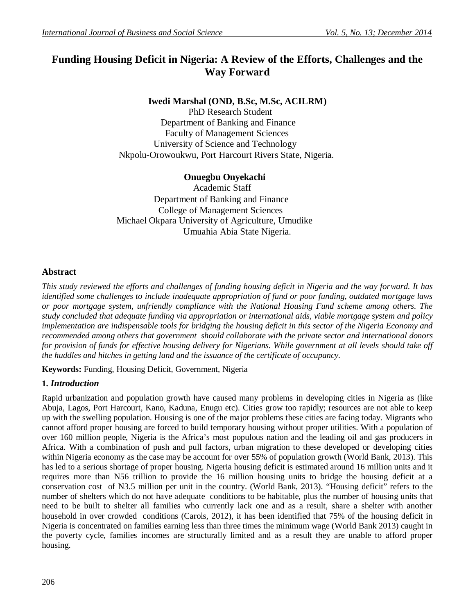# **Funding Housing Deficit in Nigeria: A Review of the Efforts, Challenges and the Way Forward**

# **Iwedi Marshal (OND, B.Sc, M.Sc, ACILRM)**

 PhD Research Student Department of Banking and Finance Faculty of Management Sciences University of Science and Technology Nkpolu-Orowoukwu, Port Harcourt Rivers State, Nigeria.

# **Onuegbu Onyekachi**

Academic Staff Department of Banking and Finance College of Management Sciences Michael Okpara University of Agriculture, Umudike Umuahia Abia State Nigeria.

# **Abstract**

*This study reviewed the efforts and challenges of funding housing deficit in Nigeria and the way forward. It has identified some challenges to include inadequate appropriation of fund or poor funding, outdated mortgage laws or poor mortgage system, unfriendly compliance with the National Housing Fund scheme among others. The study concluded that adequate funding via appropriation or international aids, viable mortgage system and policy implementation are indispensable tools for bridging the housing deficit in this sector of the Nigeria Economy and recommended among others that government should collaborate with the private sector and international donors for provision of funds for effective housing delivery for Nigerians. While government at all levels should take off the huddles and hitches in getting land and the issuance of the certificate of occupancy.* 

**Keywords:** Funding, Housing Deficit, Government, Nigeria

# **1.** *Introduction*

Rapid urbanization and population growth have caused many problems in developing cities in Nigeria as (like Abuja, Lagos, Port Harcourt, Kano, Kaduna, Enugu etc). Cities grow too rapidly; resources are not able to keep up with the swelling population. Housing is one of the major problems these cities are facing today. Migrants who cannot afford proper housing are forced to build temporary housing without proper utilities. With a population of over 160 million people, Nigeria is the Africa's most populous nation and the leading oil and gas producers in Africa. With a combination of push and pull factors, urban migration to these developed or developing cities within Nigeria economy as the case may be account for over 55% of population growth (World Bank, 2013). This has led to a serious shortage of proper housing. Nigeria housing deficit is estimated around 16 million units and it requires more than N56 trillion to provide the 16 million housing units to bridge the housing deficit at a conservation cost of N3.5 million per unit in the country. (World Bank, 2013). "Housing deficit" refers to the number of shelters which do not have adequate conditions to be habitable, plus the number of housing units that need to be built to shelter all families who currently lack one and as a result, share a shelter with another household in over crowded conditions (Carols, 2012), it has been identified that 75% of the housing deficit in Nigeria is concentrated on families earning less than three times the minimum wage (World Bank 2013) caught in the poverty cycle, families incomes are structurally limited and as a result they are unable to afford proper housing.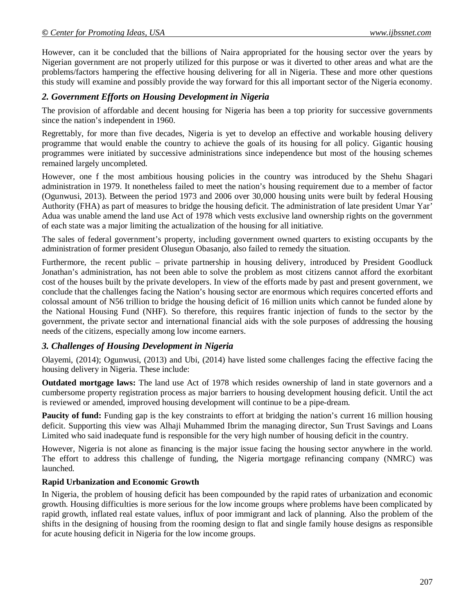However, can it be concluded that the billions of Naira appropriated for the housing sector over the years by Nigerian government are not properly utilized for this purpose or was it diverted to other areas and what are the problems/factors hampering the effective housing delivering for all in Nigeria. These and more other questions this study will examine and possibly provide the way forward for this all important sector of the Nigeria economy.

#### *2. Government Efforts on Housing Development in Nigeria*

The provision of affordable and decent housing for Nigeria has been a top priority for successive governments since the nation's independent in 1960.

Regrettably, for more than five decades, Nigeria is yet to develop an effective and workable housing delivery programme that would enable the country to achieve the goals of its housing for all policy. Gigantic housing programmes were initiated by successive administrations since independence but most of the housing schemes remained largely uncompleted.

However, one f the most ambitious housing policies in the country was introduced by the Shehu Shagari administration in 1979. It nonetheless failed to meet the nation's housing requirement due to a member of factor (Ogunwusi, 2013). Between the period 1973 and 2006 over 30,000 housing units were built by federal Housing Authority (FHA) as part of measures to bridge the housing deficit. The administration of late president Umar Yar' Adua was unable amend the land use Act of 1978 which vests exclusive land ownership rights on the government of each state was a major limiting the actualization of the housing for all initiative.

The sales of federal government's property, including government owned quarters to existing occupants by the administration of former president Olusegun Obasanjo, also failed to remedy the situation.

Furthermore, the recent public – private partnership in housing delivery, introduced by President Goodluck Jonathan's administration, has not been able to solve the problem as most citizens cannot afford the exorbitant cost of the houses built by the private developers. In view of the efforts made by past and present government, we conclude that the challenges facing the Nation's housing sector are enormous which requires concerted efforts and colossal amount of N56 trillion to bridge the housing deficit of 16 million units which cannot be funded alone by the National Housing Fund (NHF). So therefore, this requires frantic injection of funds to the sector by the government, the private sector and international financial aids with the sole purposes of addressing the housing needs of the citizens, especially among low income earners.

## *3. Challenges of Housing Development in Nigeria*

Olayemi, (2014); Ogunwusi, (2013) and Ubi, (2014) have listed some challenges facing the effective facing the housing delivery in Nigeria. These include:

**Outdated mortgage laws:** The land use Act of 1978 which resides ownership of land in state governors and a cumbersome property registration process as major barriers to housing development housing deficit. Until the act is reviewed or amended, improved housing development will continue to be a pipe-dream.

**Paucity of fund:** Funding gap is the key constraints to effort at bridging the nation's current 16 million housing deficit. Supporting this view was Alhaji Muhammed Ibrim the managing director, Sun Trust Savings and Loans Limited who said inadequate fund is responsible for the very high number of housing deficit in the country.

However, Nigeria is not alone as financing is the major issue facing the housing sector anywhere in the world. The effort to address this challenge of funding, the Nigeria mortgage refinancing company (NMRC) was launched.

#### **Rapid Urbanization and Economic Growth**

In Nigeria, the problem of housing deficit has been compounded by the rapid rates of urbanization and economic growth. Housing difficulties is more serious for the low income groups where problems have been complicated by rapid growth, inflated real estate values, influx of poor immigrant and lack of planning. Also the problem of the shifts in the designing of housing from the rooming design to flat and single family house designs as responsible for acute housing deficit in Nigeria for the low income groups.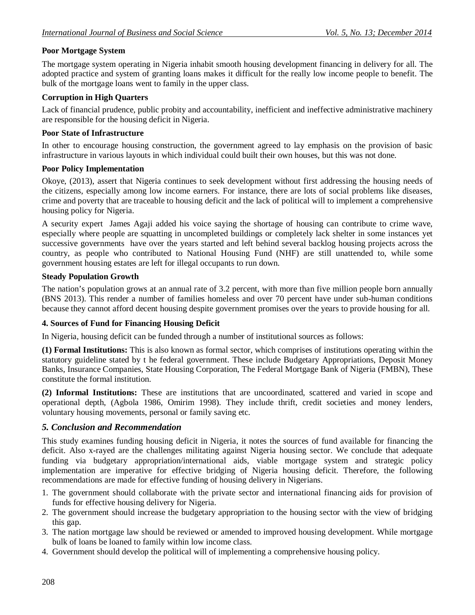# **Poor Mortgage System**

The mortgage system operating in Nigeria inhabit smooth housing development financing in delivery for all. The adopted practice and system of granting loans makes it difficult for the really low income people to benefit. The bulk of the mortgage loans went to family in the upper class.

## **Corruption in High Quarters**

Lack of financial prudence, public probity and accountability, inefficient and ineffective administrative machinery are responsible for the housing deficit in Nigeria.

#### **Poor State of Infrastructure**

In other to encourage housing construction, the government agreed to lay emphasis on the provision of basic infrastructure in various layouts in which individual could built their own houses, but this was not done.

#### **Poor Policy Implementation**

Okoye, (2013), assert that Nigeria continues to seek development without first addressing the housing needs of the citizens, especially among low income earners. For instance, there are lots of social problems like diseases, crime and poverty that are traceable to housing deficit and the lack of political will to implement a comprehensive housing policy for Nigeria.

A security expert James Agaji added his voice saying the shortage of housing can contribute to crime wave, especially where people are squatting in uncompleted buildings or completely lack shelter in some instances yet successive governments have over the years started and left behind several backlog housing projects across the country, as people who contributed to National Housing Fund (NHF) are still unattended to, while some government housing estates are left for illegal occupants to run down.

#### **Steady Population Growth**

The nation's population grows at an annual rate of 3.2 percent, with more than five million people born annually (BNS 2013). This render a number of families homeless and over 70 percent have under sub-human conditions because they cannot afford decent housing despite government promises over the years to provide housing for all.

## **4. Sources of Fund for Financing Housing Deficit**

In Nigeria, housing deficit can be funded through a number of institutional sources as follows:

**(1) Formal Institutions:** This is also known as formal sector, which comprises of institutions operating within the statutory guideline stated by t he federal government. These include Budgetary Appropriations, Deposit Money Banks, Insurance Companies, State Housing Corporation, The Federal Mortgage Bank of Nigeria (FMBN), These constitute the formal institution.

**(2) Informal Institutions:** These are institutions that are uncoordinated, scattered and varied in scope and operational depth, (Agbola 1986, Omirim 1998). They include thrift, credit societies and money lenders, voluntary housing movements, personal or family saving etc.

## *5. Conclusion and Recommendation*

This study examines funding housing deficit in Nigeria, it notes the sources of fund available for financing the deficit. Also x-rayed are the challenges militating against Nigeria housing sector. We conclude that adequate funding via budgetary appropriation/international aids, viable mortgage system and strategic policy implementation are imperative for effective bridging of Nigeria housing deficit. Therefore, the following recommendations are made for effective funding of housing delivery in Nigerians.

- 1. The government should collaborate with the private sector and international financing aids for provision of funds for effective housing delivery for Nigeria.
- 2. The government should increase the budgetary appropriation to the housing sector with the view of bridging this gap.
- 3. The nation mortgage law should be reviewed or amended to improved housing development. While mortgage bulk of loans be loaned to family within low income class.
- 4. Government should develop the political will of implementing a comprehensive housing policy.